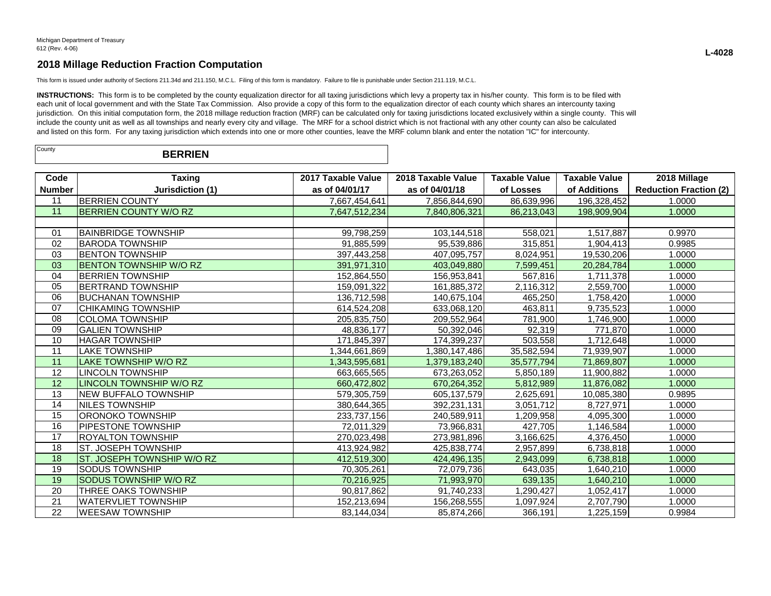This form is issued under authority of Sections 211.34d and 211.150, M.C.L. Filing of this form is mandatory. Failure to file is punishable under Section 211.119, M.C.L.

INSTRUCTIONS: This form is to be completed by the county equalization director for all taxing jurisdictions which levy a property tax in his/her county. This form is to be filed with each unit of local government and with the State Tax Commission. Also provide a copy of this form to the equalization director of each county which shares an intercounty taxing jurisdiction. On this initial computation form, the 2018 millage reduction fraction (MRF) can be calculated only for taxing jurisdictions located exclusively within a single county. This will include the county unit as well as all townships and nearly every city and village. The MRF for a school district which is not fractional with any other county can also be calculated and listed on this form. For any taxing jurisdiction which extends into one or more other counties, leave the MRF column blank and enter the notation "IC" for intercounty.

| County | <b>BERRIEN</b> |  |
|--------|----------------|--|
|--------|----------------|--|

| Code            | <b>Taxing</b>                 | 2017 Taxable Value | 2018 Taxable Value | <b>Taxable Value</b> | <b>Taxable Value</b> | 2018 Millage                  |
|-----------------|-------------------------------|--------------------|--------------------|----------------------|----------------------|-------------------------------|
| <b>Number</b>   | Jurisdiction (1)              | as of 04/01/17     | as of 04/01/18     | of Losses            | of Additions         | <b>Reduction Fraction (2)</b> |
| 11              | <b>BERRIEN COUNTY</b>         | 7,667,454,641      | 7,856,844,690      | 86,639,996           | 196,328,452          | 1.0000                        |
| 11              | <b>BERRIEN COUNTY W/O RZ</b>  | 7,647,512,234      | 7,840,806,321      | 86,213,043           | 198,909,904          | 1.0000                        |
|                 |                               |                    |                    |                      |                      |                               |
| 01              | <b>IBAINBRIDGE TOWNSHIP</b>   | 99,798,259         | 103,144,518        | 558,021              | 1,517,887            | 0.9970                        |
| 02              | <b>BARODA TOWNSHIP</b>        | 91,885,599         | 95,539,886         | 315,851              | 1,904,413            | 0.9985                        |
| 03              | <b>IBENTON TOWNSHIP</b>       | 397,443,258        | 407,095,757        | 8,024,951            | 19,530,206           | 1.0000                        |
| 03              | <b>BENTON TOWNSHIP W/O RZ</b> | 391.971.310        | 403,049,880        | 7.599.451            | 20.284.784           | 1.0000                        |
| 04              | <b>BERRIEN TOWNSHIP</b>       | 152,864,550        | 156,953,841        | 567,816              | 1,711,378            | 1.0000                        |
| 05              | <b>BERTRAND TOWNSHIP</b>      | 159,091,322        | 161,885,372        | 2,116,312            | 2,559,700            | 1.0000                        |
| 06              | IBUCHANAN TOWNSHIP            | 136,712,598        | 140,675,104        | 465,250              | 1,758,420            | 1.0000                        |
| 07              | <b>CHIKAMING TOWNSHIP</b>     | 614,524,208        | 633,068,120        | 463,811              | 9,735,523            | 1.0000                        |
| 08              | <b>COLOMA TOWNSHIP</b>        | 205,835,750        | 209,552,964        | 781,900              | 1,746,900            | 1.0000                        |
| 09              | <b>GALIEN TOWNSHIP</b>        | 48,836,177         | 50,392,046         | 92,319               | 771,870              | 1.0000                        |
| 10              | <b>HAGAR TOWNSHIP</b>         | 171,845,397        | 174,399,237        | 503,558              | 1,712,648            | 1.0000                        |
| 11              | <b>LAKE TOWNSHIP</b>          | 1,344,661,869      | 1,380,147,486      | 35,582,594           | 71,939,907           | 1.0000                        |
| 11              | LAKE TOWNSHIP W/O RZ          | 1,343,595,681      | 1,379,183,240      | 35,577,794           | 71,869,807           | 1.0000                        |
| 12              | <b>LINCOLN TOWNSHIP</b>       | 663,665,565        | 673,263,052        | 5,850,189            | 11,900,882           | 1.0000                        |
| 12              | LINCOLN TOWNSHIP W/O RZ       | 660,472,802        | 670,264,352        | 5,812,989            | 11,876,082           | 1.0000                        |
| 13              | <b>NEW BUFFALO TOWNSHIP</b>   | 579,305,759        | 605,137,579        | 2,625,691            | 10,085,380           | 0.9895                        |
| 14              | INILES TOWNSHIP               | 380,644,365        | 392,231,131        | 3,051,712            | 8,727,971            | 1.0000                        |
| $\overline{15}$ | ORONOKO TOWNSHIP              | 233,737,156        | 240,589,911        | 1,209,958            | 4,095,300            | 1.0000                        |
| 16              | <b>PIPESTONE TOWNSHIP</b>     | 72,011,329         | 73,966,831         | 427,705              | 1,146,584            | 1.0000                        |
| 17              | IROYALTON TOWNSHIP            | 270,023,498        | 273,981,896        | 3,166,625            | 4,376,450            | 1.0000                        |
| 18              | ST. JOSEPH TOWNSHIP           | 413,924,982        | 425,838,774        | 2,957,899            | 6,738,818            | 1.0000                        |
| 18              | ST. JOSEPH TOWNSHIP W/O RZ    | 412,519,300        | 424,496,135        | 2,943,099            | 6,738,818            | 1.0000                        |
| 19              | <b>SODUS TOWNSHIP</b>         | 70,305,261         | 72,079,736         | 643,035              | 1,640,210            | 1.0000                        |
| 19              | <b>SODUS TOWNSHIP W/O RZ</b>  | 70,216,925         | 71,993,970         | 639,135              | 1,640,210            | 1.0000                        |
| 20              | THREE OAKS TOWNSHIP           | 90,817,862         | 91,740,233         | 1,290,427            | 1,052,417            | 1.0000                        |
| 21              | <b>WATERVLIET TOWNSHIP</b>    | 152,213,694        | 156,268,555        | 1,097,924            | 2,707,790            | 1.0000                        |
| 22              | <b>WEESAW TOWNSHIP</b>        | 83,144,034         | 85,874,266         | 366,191              | 1,225,159            | 0.9984                        |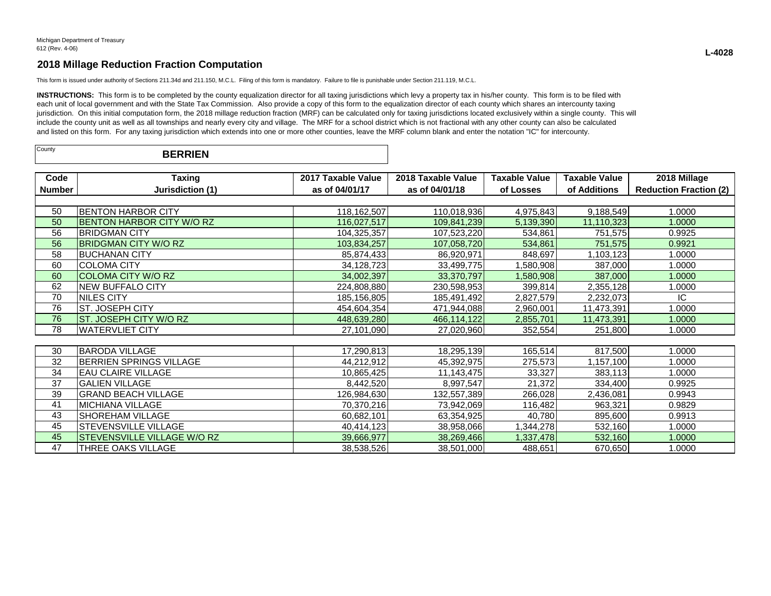This form is issued under authority of Sections 211.34d and 211.150, M.C.L. Filing of this form is mandatory. Failure to file is punishable under Section 211.119, M.C.L.

INSTRUCTIONS: This form is to be completed by the county equalization director for all taxing jurisdictions which levy a property tax in his/her county. This form is to be filed with each unit of local government and with the State Tax Commission. Also provide a copy of this form to the equalization director of each county which shares an intercounty taxing jurisdiction. On this initial computation form, the 2018 millage reduction fraction (MRF) can be calculated only for taxing jurisdictions located exclusively within a single county. This will include the county unit as well as all townships and nearly every city and village. The MRF for a school district which is not fractional with any other county can also be calculated and listed on this form. For any taxing jurisdiction which extends into one or more other counties, leave the MRF column blank and enter the notation "IC" for intercounty.

| County<br><b>BERRIEN</b> |  |  |
|--------------------------|--|--|
|--------------------------|--|--|

| Code          | <b>Taxing</b>                    | 2017 Taxable Value | 2018 Taxable Value | <b>Taxable Value</b> | <b>Taxable Value</b> | 2018 Millage                  |
|---------------|----------------------------------|--------------------|--------------------|----------------------|----------------------|-------------------------------|
| <b>Number</b> | Jurisdiction (1)                 | as of 04/01/17     | as of 04/01/18     | of Losses            | of Additions         | <b>Reduction Fraction (2)</b> |
|               |                                  |                    |                    |                      |                      |                               |
| 50            | <b>BENTON HARBOR CITY</b>        | 118,162,507        | 110,018,936        | 4,975,843            | 9,188,549            | 1.0000                        |
| 50            | <b>BENTON HARBOR CITY W/O RZ</b> | 116,027,517        | 109,841,239        | 5,139,390            | 11,110,323           | 1.0000                        |
| 56            | <b>BRIDGMAN CITY</b>             | 104,325,357        | 107,523,220        | 534,861              | 751,575              | 0.9925                        |
| 56            | <b>BRIDGMAN CITY W/O RZ</b>      | 103,834,257        | 107,058,720        | 534,861              | 751,575              | 0.9921                        |
| 58            | <b>BUCHANAN CITY</b>             | 85,874,433         | 86,920,971         | 848,697              | 1,103,123            | 1.0000                        |
| 60            | <b>COLOMA CITY</b>               | 34, 128, 723       | 33,499,775         | 1,580,908            | 387,000              | 1.0000                        |
| 60            | <b>COLOMA CITY W/O RZ</b>        | 34,002,397         | 33,370,797         | 1,580,908            | 387,000              | 1.0000                        |
| 62            | <b>NEW BUFFALO CITY</b>          | 224,808,880        | 230,598,953        | 399,814              | 2,355,128            | 1.0000                        |
| 70            | NILES CITY                       | 185,156,805        | 185,491,492        | 2,827,579            | 2,232,073            | IC.                           |
| 76            | ST. JOSEPH CITY                  | 454,604,354        | 471,944,088        | 2,960,001            | 11,473,391           | 1.0000                        |
| 76            | ST. JOSEPH CITY W/O RZ           | 448,639,280        | 466,114,122        | 2,855,701            | 11,473,391           | 1.0000                        |
| 78            | <b>WATERVLIET CITY</b>           | 27,101,090         | 27,020,960         | 352,554              | 251,800              | 1.0000                        |
|               |                                  |                    |                    |                      |                      |                               |
| 30            | <b>BARODA VILLAGE</b>            | 17,290,813         | 18,295,139         | 165,514              | 817,500              | 1.0000                        |
| 32            | <b>BERRIEN SPRINGS VILLAGE</b>   | 44,212,912         | 45,392,975         | 275,573              | 1,157,100            | 1.0000                        |
| 34            | <b>EAU CLAIRE VILLAGE</b>        | 10,865,425         | 11,143,475         | 33,327               | 383,113              | 1.0000                        |
| 37            | <b>GALIEN VILLAGE</b>            | 8,442,520          | 8,997,547          | 21,372               | 334,400              | 0.9925                        |
| 39            | <b>GRAND BEACH VILLAGE</b>       | 126,984,630        | 132,557,389        | 266,028              | 2,436,081            | 0.9943                        |
| 41            | <b>MICHIANA VILLAGE</b>          | 70,370,216         | 73,942,069         | 116,482              | 963,321              | 0.9829                        |
| 43            | SHOREHAM VILLAGE                 | 60,682,101         | 63,354,925         | 40,780               | 895,600              | 0.9913                        |
| 45            | STEVENSVILLE VILLAGE             | 40,414,123         | 38,958,066         | 1,344,278            | 532,160              | 1.0000                        |
| 45            | STEVENSVILLE VILLAGE W/O RZ      | 39,666,977         | 38,269,466         | 1,337,478            | 532,160              | 1.0000                        |
| 47            | THREE OAKS VILLAGE               | 38,538,526         | 38,501,000         | 488,651              | 670,650              | 1.0000                        |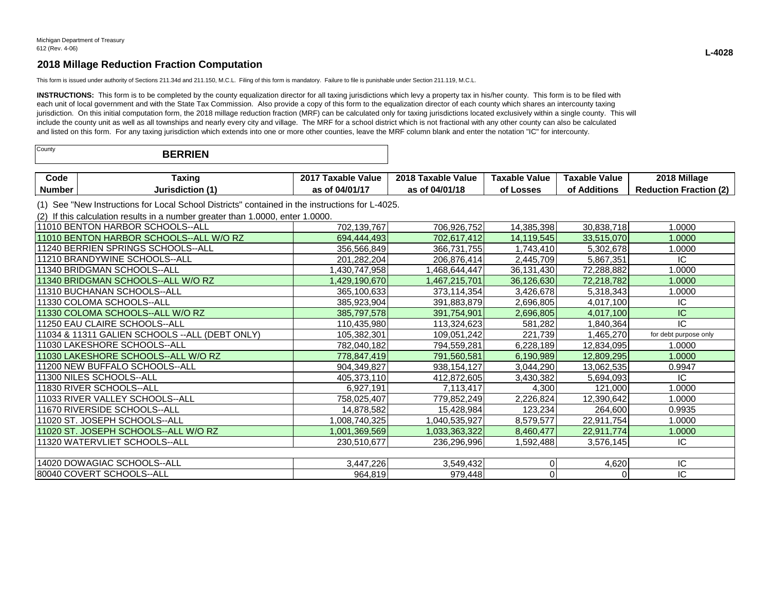This form is issued under authority of Sections 211.34d and 211.150, M.C.L. Filing of this form is mandatory. Failure to file is punishable under Section 211.119, M.C.L.

INSTRUCTIONS: This form is to be completed by the county equalization director for all taxing jurisdictions which levy a property tax in his/her county. This form is to be filed with each unit of local government and with the State Tax Commission. Also provide a copy of this form to the equalization director of each county which shares an intercounty taxing jurisdiction. On this initial computation form, the 2018 millage reduction fraction (MRF) can be calculated only for taxing jurisdictions located exclusively within a single county. This will include the county unit as well as all townships and nearly every city and village. The MRF for a school district which is not fractional with any other county can also be calculated and listed on this form. For any taxing jurisdiction which extends into one or more other counties, leave the MRF column blank and enter the notation "IC" for intercounty.

| County<br><b>BERRIEN</b> |  |
|--------------------------|--|
|--------------------------|--|

| Jode          | <b>Taxino</b> | 2017<br>Value<br><b>Faxable</b> | 2018<br>Taxable<br>Value | Value<br><b>Taxable</b> | Value<br><b>Taxable</b> | 3 Millage<br>2018                      |
|---------------|---------------|---------------------------------|--------------------------|-------------------------|-------------------------|----------------------------------------|
| <b>Number</b> | Jurisdiction  | .04/01/1<br>. .                 | 04/01/18                 | _osses                  | <b>Additions</b><br>от  | $\sim$<br>Ernetier<br><b>Reduction</b> |

(1) See "New Instructions for Local School Districts" contained in the instructions for L-4025.

(2) If this calculation results in a number greater than 1.0000, enter 1.0000.

| 111010 BENTON HARBOR SCHOOLS--ALL               | 702,139,767   | 706,926,752   | 14,385,398 | 30,838,718 | 1.0000                |
|-------------------------------------------------|---------------|---------------|------------|------------|-----------------------|
| 11010 BENTON HARBOR SCHOOLS--ALL W/O RZ         | 694,444,493   | 702.617.412   | 14,119,545 | 33,515,070 | 1.0000                |
| 111240 BERRIEN SPRINGS SCHOOLS--ALL             | 356,566,849   | 366,731,755   | 1,743,410  | 5,302,678  | 1.0000                |
| 11210 BRANDYWINE SCHOOLS--ALL                   | 201,282,204   | 206,876,414   | 2,445,709  | 5,867,351  | IC                    |
| 11340 BRIDGMAN SCHOOLS--ALL                     | ,430,747,958  | ,468,644,447  | 36,131,430 | 72,288,882 | 1.0000                |
| 11340 BRIDGMAN SCHOOLS--ALL W/O RZ              | 1,429,190,670 | 1,467,215,701 | 36,126,630 | 72,218,782 | 1.0000                |
| 11310 BUCHANAN SCHOOLS--ALL                     | 365,100,633   | 373,114,354   | 3,426,678  | 5,318,343  | 1.0000                |
| l11330 COLOMA SCHOOLS--ALL                      | 385,923,904   | 391,883,879   | 2,696,805  | 4,017,100  | IC                    |
| 11330 COLOMA SCHOOLS--ALL W/O RZ                | 385,797,578   | 391,754,901   | 2,696,805  | 4,017,100  | IС                    |
| 111250 EAU CLAIRE SCHOOLS--ALL                  | 110,435,980   | 113,324,623   | 581,282    | 1,840,364  | ΙC                    |
| 11034 & 11311 GALIEN SCHOOLS -- ALL (DEBT ONLY) | 105,382,301   | 109,051,242   | 221,739    | ,465,270   | for debt purpose only |
| 11030 LAKESHORE SCHOOLS--ALL                    | 782,040,182   | 794,559,281   | 6,228,189  | 12,834,095 | 1.0000                |
| 11030 LAKESHORE SCHOOLS--ALL W/O RZ             | 778,847,419   | 791,560,581   | 6,190,989  | 12,809,295 | 1.0000                |
| 11200 NEW BUFFALO SCHOOLS--ALL                  | 904,349,827   | 938, 154, 127 | 3,044,290  | 13,062,535 | 0.9947                |
| 11300 NILES SCHOOLS--ALL                        | 405,373,110   | 412,872,605   | 3,430,382  | 5,694,093  | IC                    |
| 11830 RIVER SCHOOLS--ALL                        | 6,927,191     | 7,113,417     | 4,300      | 121,000    | 1.0000                |
| 111033 RIVER VALLEY SCHOOLS--ALL                | 758,025,407   | 779,852,249   | 2,226,824  | 12,390,642 | 1.0000                |
| 11670 RIVERSIDE SCHOOLS--ALL                    | 14,878,582    | 15,428,984    | 123,234    | 264,600    | 0.9935                |
| l11020 ST. JOSEPH SCHOOLS--ALL                  | 1,008,740,325 | 1,040,535,927 | 8,579,577  | 22,911,754 | 1.0000                |
| 11020 ST. JOSEPH SCHOOLS--ALL W/O RZ            | 1,001,369,569 | 1,033,363,322 | 8,460,477  | 22,911,774 | 1.0000                |
| 11320 WATERVLIET SCHOOLS--ALL                   | 230,510,677   | 236,296,996   | 1,592,488  | 3,576,145  | IC                    |
|                                                 |               |               |            |            |                       |
| 14020 DOWAGIAC SCHOOLS--ALL                     | 3,447,226     | 3,549,432     | 0          | 4,620      | ΙC                    |
| 80040 COVERT SCHOOLS--ALL                       | 964,819       | 979,448       |            |            | IC                    |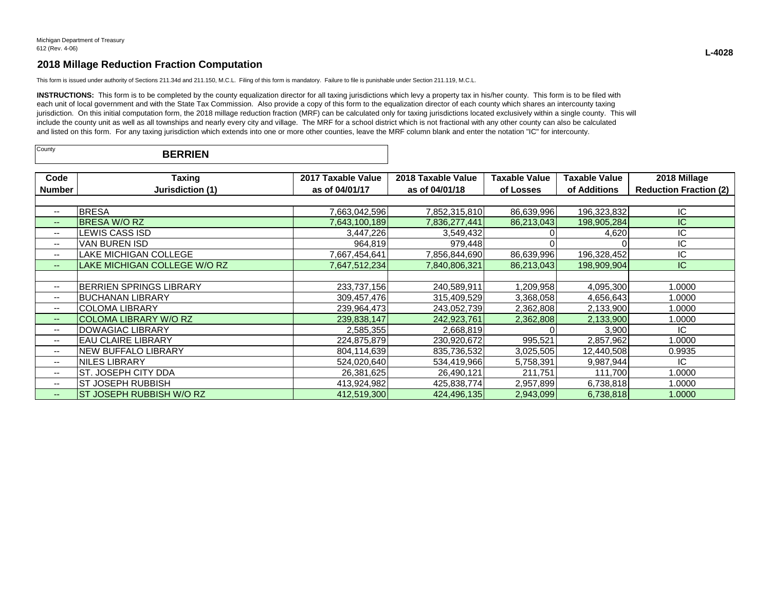This form is issued under authority of Sections 211.34d and 211.150, M.C.L. Filing of this form is mandatory. Failure to file is punishable under Section 211.119, M.C.L.

INSTRUCTIONS: This form is to be completed by the county equalization director for all taxing jurisdictions which levy a property tax in his/her county. This form is to be filed with each unit of local government and with the State Tax Commission. Also provide a copy of this form to the equalization director of each county which shares an intercounty taxing jurisdiction. On this initial computation form, the 2018 millage reduction fraction (MRF) can be calculated only for taxing jurisdictions located exclusively within a single county. This will include the county unit as well as all townships and nearly every city and village. The MRF for a school district which is not fractional with any other county can also be calculated and listed on this form. For any taxing jurisdiction which extends into one or more other counties, leave the MRF column blank and enter the notation "IC" for intercounty.

| County | <b>BERRIEN</b> |  |
|--------|----------------|--|
|--------|----------------|--|

| Code                     | Taxing                       | 2017 Taxable Value | 2018 Taxable Value | <b>Taxable Value</b> | Taxable Value | 2018 Millage                  |
|--------------------------|------------------------------|--------------------|--------------------|----------------------|---------------|-------------------------------|
| Number                   | Jurisdiction (1)             | as of 04/01/17     | as of 04/01/18     | of Losses            | of Additions  | <b>Reduction Fraction (2)</b> |
|                          |                              |                    |                    |                      |               |                               |
| --                       | <b>BRESA</b>                 | 7,663,042,596      | 7,852,315,810      | 86,639,996           | 196,323,832   | ΙC                            |
| $\overline{\phantom{m}}$ | <b>IBRESA W/O RZ</b>         | 7,643,100,189      | 7,836,277,441      | 86,213,043           | 198,905,284   | IС                            |
| $-$                      | LEWIS CASS ISD               | 3,447,226          | 3,549,432          |                      | 4,620         | IC                            |
| $-$                      | IVAN BUREN ISD               | 964,819            | 979,448            |                      |               | ΙC                            |
| $\overline{\phantom{a}}$ | <b>LAKE MICHIGAN COLLEGE</b> | 7,667,454,641      | 7,856,844,690      | 86,639,996           | 196,328,452   | IC                            |
| $- -$                    | LAKE MICHIGAN COLLEGE W/O RZ | 7,647,512,234      | 7,840,806,321      | 86,213,043           | 198,909,904   | IC.                           |
|                          |                              |                    |                    |                      |               |                               |
| $\overline{\phantom{a}}$ | IBERRIEN SPRINGS LIBRARY     | 233,737,156        | 240,589,911        | 1,209,958            | 4,095,300     | 1.0000                        |
| --                       | IBUCHANAN LIBRARY            | 309,457,476        | 315,409,529        | 3,368,058            | 4,656,643     | 1.0000                        |
| --                       | <b>COLOMA LIBRARY</b>        | 239,964,473        | 243,052,739        | 2,362,808            | 2,133,900     | 1.0000                        |
| $\overline{\phantom{m}}$ | <b>COLOMA LIBRARY W/O RZ</b> | 239,838,147        | 242,923,761        | 2,362,808            | 2,133,900     | 1.0000                        |
| $\overline{\phantom{a}}$ | <b>DOWAGIAC LIBRARY</b>      | 2,585,355          | 2,668,819          |                      | 3,900         | IC                            |
| $-$                      | <b>EAU CLAIRE LIBRARY</b>    | 224,875,879        | 230,920,672        | 995,521              | 2,857,962     | 1.0000                        |
| $\overline{\phantom{a}}$ | NEW BUFFALO LIBRARY          | 804,114,639        | 835,736,532        | 3,025,505            | 12,440,508    | 0.9935                        |
| $\overline{\phantom{a}}$ | NILES LIBRARY                | 524.020.640        | 534,419,966        | 5,758,391            | 9,987,944     | IC                            |
| $\overline{\phantom{a}}$ | IST. JOSEPH CITY DDA         | 26,381,625         | 26,490,121         | 211,751              | 111,700       | 1.0000                        |
| $\overline{\phantom{a}}$ | IST JOSEPH RUBBISH           | 413,924,982        | 425,838,774        | 2,957,899            | 6,738,818     | 1.0000                        |
| --                       | ST JOSEPH RUBBISH W/O RZ     | 412,519,300        | 424,496,135        | 2,943,099            | 6,738,818     | 1.0000                        |